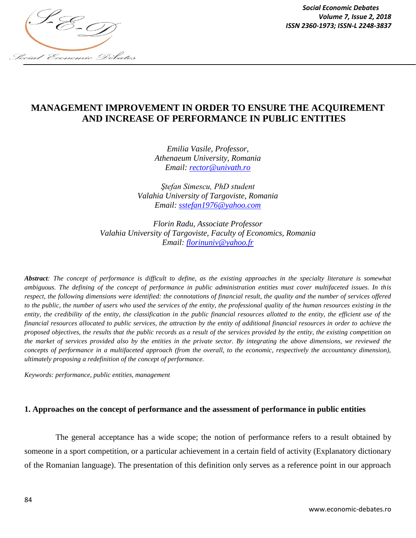

# **MANAGEMENT IMPROVEMENT IN ORDER TO ENSURE THE ACQUIREMENT AND INCREASE OF PERFORMANCE IN PUBLIC ENTITIES**

*Emilia Vasile, Professor, Athenaeum University, Romania Email: [rector@univath.ro](mailto:rector@univath.ro)*

*Ştefan Simescu, PhD student Valahia University of Targoviste, Romania Email: [sstefan1976@yahoo.com](mailto:sstefan1976@yahoo.com)*

*Florin Radu, Associate Professor Valahia University of Targoviste, Faculty of Economics, Romania Email: [florinuniv@yahoo.fr](mailto:florinuniv@yahoo.fr)*

*Abstract: The concept of performance is difficult to define, as the existing approaches in the specialty literature is somewhat ambiguous. The defining of the concept of performance in public administration entities must cover multifaceted issues. In this respect, the following dimensions were identified: the connotations of financial result, the quality and the number of services offered to the public, the number of users who used the services of the entity, the professional quality of the human resources existing in the entity, the credibility of the entity, the classification in the public financial resources allotted to the entity, the efficient use of the financial resources allocated to public services, the attraction by the entity of additional financial resources in order to achieve the proposed objectives, the results that the public records as a result of the services provided by the entity, the existing competition on the market of services provided also by the entities in the private sector. By integrating the above dimensions, we reviewed the*  concepts of performance in a multifaceted approach (from the overall, to the economic, respectively the accountancy dimension), *ultimately proposing a redefinition of the concept of performance.*

*Keywords: performance, public entities, management*

### **1. Approaches on the concept of performance and the assessment of performance in public entities**

The general acceptance has a wide scope; the notion of performance refers to a result obtained by someone in a sport competition, or a particular achievement in a certain field of activity (Explanatory dictionary of the Romanian language). The presentation of this definition only serves as a reference point in our approach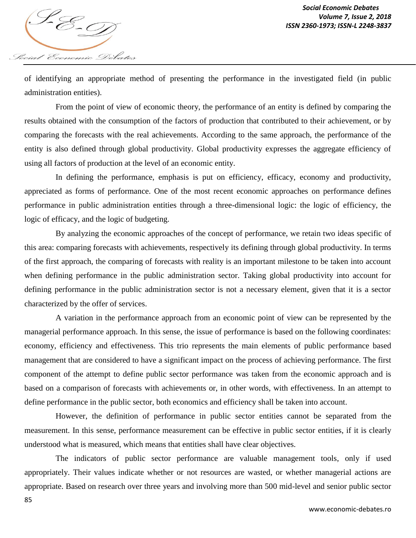

of identifying an appropriate method of presenting the performance in the investigated field (in public administration entities).

From the point of view of economic theory, the performance of an entity is defined by comparing the results obtained with the consumption of the factors of production that contributed to their achievement, or by comparing the forecasts with the real achievements. According to the same approach, the performance of the entity is also defined through global productivity. Global productivity expresses the aggregate efficiency of using all factors of production at the level of an economic entity.

In defining the performance, emphasis is put on efficiency, efficacy, economy and productivity, appreciated as forms of performance. One of the most recent economic approaches on performance defines performance in public administration entities through a three-dimensional logic: the logic of efficiency, the logic of efficacy, and the logic of budgeting.

By analyzing the economic approaches of the concept of performance, we retain two ideas specific of this area: comparing forecasts with achievements, respectively its defining through global productivity. In terms of the first approach, the comparing of forecasts with reality is an important milestone to be taken into account when defining performance in the public administration sector. Taking global productivity into account for defining performance in the public administration sector is not a necessary element, given that it is a sector characterized by the offer of services.

A variation in the performance approach from an economic point of view can be represented by the managerial performance approach. In this sense, the issue of performance is based on the following coordinates: economy, efficiency and effectiveness. This trio represents the main elements of public performance based management that are considered to have a significant impact on the process of achieving performance. The first component of the attempt to define public sector performance was taken from the economic approach and is based on a comparison of forecasts with achievements or, in other words, with effectiveness. In an attempt to define performance in the public sector, both economics and efficiency shall be taken into account.

However, the definition of performance in public sector entities cannot be separated from the measurement. In this sense, performance measurement can be effective in public sector entities, if it is clearly understood what is measured, which means that entities shall have clear objectives.

The indicators of public sector performance are valuable management tools, only if used appropriately. Their values indicate whether or not resources are wasted, or whether managerial actions are appropriate. Based on research over three years and involving more than 500 mid-level and senior public sector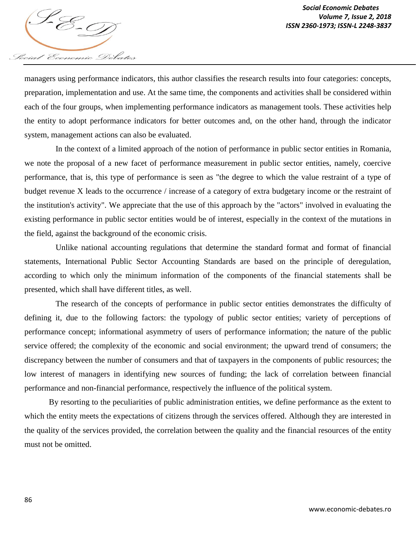

managers using performance indicators, this author classifies the research results into four categories: concepts, preparation, implementation and use. At the same time, the components and activities shall be considered within each of the four groups, when implementing performance indicators as management tools. These activities help the entity to adopt performance indicators for better outcomes and, on the other hand, through the indicator system, management actions can also be evaluated.

In the context of a limited approach of the notion of performance in public sector entities in Romania, we note the proposal of a new facet of performance measurement in public sector entities, namely, coercive performance, that is, this type of performance is seen as "the degree to which the value restraint of a type of budget revenue X leads to the occurrence / increase of a category of extra budgetary income or the restraint of the institution's activity". We appreciate that the use of this approach by the "actors" involved in evaluating the existing performance in public sector entities would be of interest, especially in the context of the mutations in the field, against the background of the economic crisis.

Unlike national accounting regulations that determine the standard format and format of financial statements, International Public Sector Accounting Standards are based on the principle of deregulation, according to which only the minimum information of the components of the financial statements shall be presented, which shall have different titles, as well.

The research of the concepts of performance in public sector entities demonstrates the difficulty of defining it, due to the following factors: the typology of public sector entities; variety of perceptions of performance concept; informational asymmetry of users of performance information; the nature of the public service offered; the complexity of the economic and social environment; the upward trend of consumers; the discrepancy between the number of consumers and that of taxpayers in the components of public resources; the low interest of managers in identifying new sources of funding; the lack of correlation between financial performance and non-financial performance, respectively the influence of the political system.

By resorting to the peculiarities of public administration entities, we define performance as the extent to which the entity meets the expectations of citizens through the services offered. Although they are interested in the quality of the services provided, the correlation between the quality and the financial resources of the entity must not be omitted.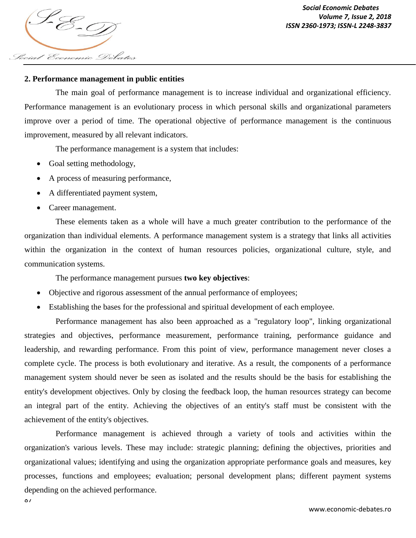*ISSN 2360-1973; ISSN-L 2248-3837* Social Economic Debates

## **2. Performance management in public entities**

The main goal of performance management is to increase individual and organizational efficiency. Performance management is an evolutionary process in which personal skills and organizational parameters improve over a period of time. The operational objective of performance management is the continuous improvement, measured by all relevant indicators.

The performance management is a system that includes:

- Goal setting methodology,
- A process of measuring performance,
- A differentiated payment system,
- Career management.

87

These elements taken as a whole will have a much greater contribution to the performance of the organization than individual elements. A performance management system is a strategy that links all activities within the organization in the context of human resources policies, organizational culture, style, and communication systems.

The performance management pursues **two key objectives**:

- Objective and rigorous assessment of the annual performance of employees;
- Establishing the bases for the professional and spiritual development of each employee.

Performance management has also been approached as a "regulatory loop", linking organizational strategies and objectives, performance measurement, performance training, performance guidance and leadership, and rewarding performance. From this point of view, performance management never closes a complete cycle. The process is both evolutionary and iterative. As a result, the components of a performance management system should never be seen as isolated and the results should be the basis for establishing the entity's development objectives. Only by closing the feedback loop, the human resources strategy can become an integral part of the entity. Achieving the objectives of an entity's staff must be consistent with the achievement of the entity's objectives.

Performance management is achieved through a variety of tools and activities within the organization's various levels. These may include: strategic planning; defining the objectives, priorities and organizational values; identifying and using the organization appropriate performance goals and measures, key processes, functions and employees; evaluation; personal development plans; different payment systems depending on the achieved performance.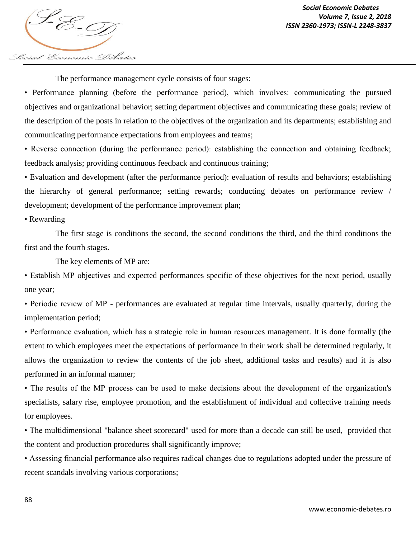

The performance management cycle consists of four stages:

• Performance planning (before the performance period), which involves: communicating the pursued objectives and organizational behavior; setting department objectives and communicating these goals; review of the description of the posts in relation to the objectives of the organization and its departments; establishing and communicating performance expectations from employees and teams;

• Reverse connection (during the performance period): establishing the connection and obtaining feedback; feedback analysis; providing continuous feedback and continuous training;

• Evaluation and development (after the performance period): evaluation of results and behaviors; establishing the hierarchy of general performance; setting rewards; conducting debates on performance review / development; development of the performance improvement plan;

• Rewarding

The first stage is conditions the second, the second conditions the third, and the third conditions the first and the fourth stages.

The key elements of MP are:

• Establish MP objectives and expected performances specific of these objectives for the next period, usually one year;

• Periodic review of MP - performances are evaluated at regular time intervals, usually quarterly, during the implementation period;

• Performance evaluation, which has a strategic role in human resources management. It is done formally (the extent to which employees meet the expectations of performance in their work shall be determined regularly, it allows the organization to review the contents of the job sheet, additional tasks and results) and it is also performed in an informal manner;

• The results of the MP process can be used to make decisions about the development of the organization's specialists, salary rise, employee promotion, and the establishment of individual and collective training needs for employees.

• The multidimensional "balance sheet scorecard" used for more than a decade can still be used, provided that the content and production procedures shall significantly improve;

• Assessing financial performance also requires radical changes due to regulations adopted under the pressure of recent scandals involving various corporations;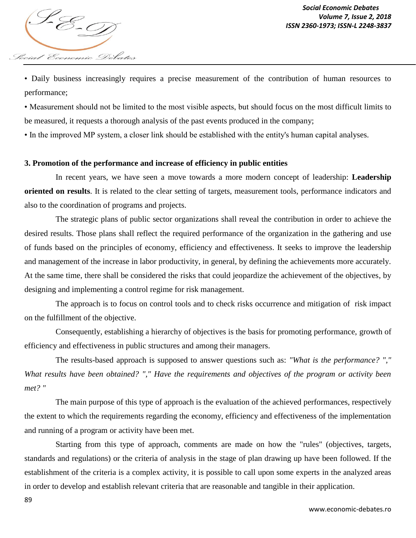

• Daily business increasingly requires a precise measurement of the contribution of human resources to performance;

• Measurement should not be limited to the most visible aspects, but should focus on the most difficult limits to be measured, it requests a thorough analysis of the past events produced in the company;

• In the improved MP system, a closer link should be established with the entity's human capital analyses.

### **3. Promotion of the performance and increase of efficiency in public entities**

In recent years, we have seen a move towards a more modern concept of leadership: **Leadership oriented on results**. It is related to the clear setting of targets, measurement tools, performance indicators and also to the coordination of programs and projects.

The strategic plans of public sector organizations shall reveal the contribution in order to achieve the desired results. Those plans shall reflect the required performance of the organization in the gathering and use of funds based on the principles of economy, efficiency and effectiveness. It seeks to improve the leadership and management of the increase in labor productivity, in general, by defining the achievements more accurately. At the same time, there shall be considered the risks that could jeopardize the achievement of the objectives, by designing and implementing a control regime for risk management.

The approach is to focus on control tools and to check risks occurrence and mitigation of risk impact on the fulfillment of the objective.

Consequently, establishing a hierarchy of objectives is the basis for promoting performance, growth of efficiency and effectiveness in public structures and among their managers.

The results-based approach is supposed to answer questions such as: *"What is the performance? "," What results have been obtained? "," Have the requirements and objectives of the program or activity been met? "*

The main purpose of this type of approach is the evaluation of the achieved performances, respectively the extent to which the requirements regarding the economy, efficiency and effectiveness of the implementation and running of a program or activity have been met.

Starting from this type of approach, comments are made on how the "rules" (objectives, targets, standards and regulations) or the criteria of analysis in the stage of plan drawing up have been followed. If the establishment of the criteria is a complex activity, it is possible to call upon some experts in the analyzed areas in order to develop and establish relevant criteria that are reasonable and tangible in their application.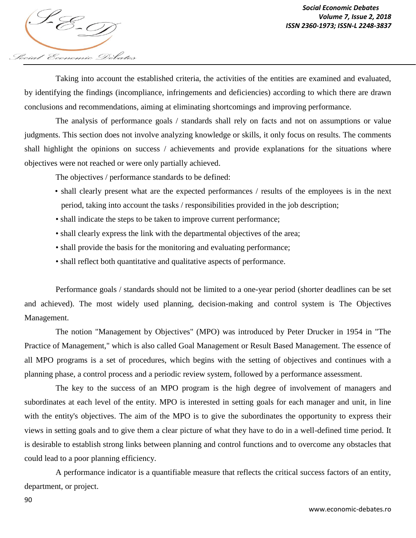

Taking into account the established criteria, the activities of the entities are examined and evaluated, by identifying the findings (incompliance, infringements and deficiencies) according to which there are drawn conclusions and recommendations, aiming at eliminating shortcomings and improving performance.

The analysis of performance goals / standards shall rely on facts and not on assumptions or value judgments. This section does not involve analyzing knowledge or skills, it only focus on results. The comments shall highlight the opinions on success / achievements and provide explanations for the situations where objectives were not reached or were only partially achieved.

The objectives / performance standards to be defined:

- shall clearly present what are the expected performances / results of the employees is in the next period, taking into account the tasks / responsibilities provided in the job description;
- shall indicate the steps to be taken to improve current performance;
- shall clearly express the link with the departmental objectives of the area;
- shall provide the basis for the monitoring and evaluating performance;
- shall reflect both quantitative and qualitative aspects of performance.

Performance goals / standards should not be limited to a one-year period (shorter deadlines can be set and achieved). The most widely used planning, decision-making and control system is The Objectives Management.

The notion "Management by Objectives" (MPO) was introduced by Peter Drucker in 1954 in "The Practice of Management," which is also called Goal Management or Result Based Management. The essence of all MPO programs is a set of procedures, which begins with the setting of objectives and continues with a planning phase, a control process and a periodic review system, followed by a performance assessment.

The key to the success of an MPO program is the high degree of involvement of managers and subordinates at each level of the entity. MPO is interested in setting goals for each manager and unit, in line with the entity's objectives. The aim of the MPO is to give the subordinates the opportunity to express their views in setting goals and to give them a clear picture of what they have to do in a well-defined time period. It is desirable to establish strong links between planning and control functions and to overcome any obstacles that could lead to a poor planning efficiency.

A performance indicator is a quantifiable measure that reflects the critical success factors of an entity, department, or project.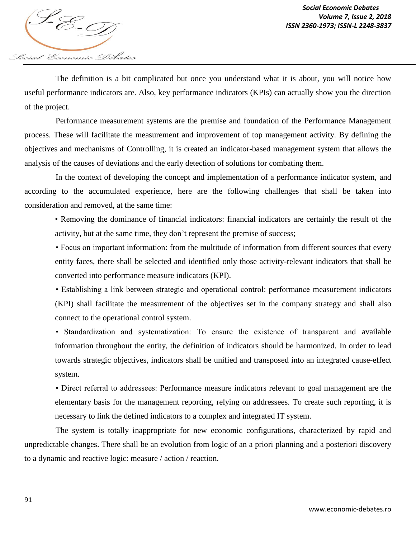

The definition is a bit complicated but once you understand what it is about, you will notice how useful performance indicators are. Also, key performance indicators (KPIs) can actually show you the direction of the project.

Performance measurement systems are the premise and foundation of the Performance Management process. These will facilitate the measurement and improvement of top management activity. By defining the objectives and mechanisms of Controlling, it is created an indicator-based management system that allows the analysis of the causes of deviations and the early detection of solutions for combating them.

In the context of developing the concept and implementation of a performance indicator system, and according to the accumulated experience, here are the following challenges that shall be taken into consideration and removed, at the same time:

• Removing the dominance of financial indicators: financial indicators are certainly the result of the activity, but at the same time, they don't represent the premise of success;

• Focus on important information: from the multitude of information from different sources that every entity faces, there shall be selected and identified only those activity-relevant indicators that shall be converted into performance measure indicators (KPI).

• Establishing a link between strategic and operational control: performance measurement indicators (KPI) shall facilitate the measurement of the objectives set in the company strategy and shall also connect to the operational control system.

• Standardization and systematization: To ensure the existence of transparent and available information throughout the entity, the definition of indicators should be harmonized. In order to lead towards strategic objectives, indicators shall be unified and transposed into an integrated cause-effect system.

• Direct referral to addressees: Performance measure indicators relevant to goal management are the elementary basis for the management reporting, relying on addressees. To create such reporting, it is necessary to link the defined indicators to a complex and integrated IT system.

The system is totally inappropriate for new economic configurations, characterized by rapid and unpredictable changes. There shall be an evolution from logic of an a priori planning and a posteriori discovery to a dynamic and reactive logic: measure / action / reaction.